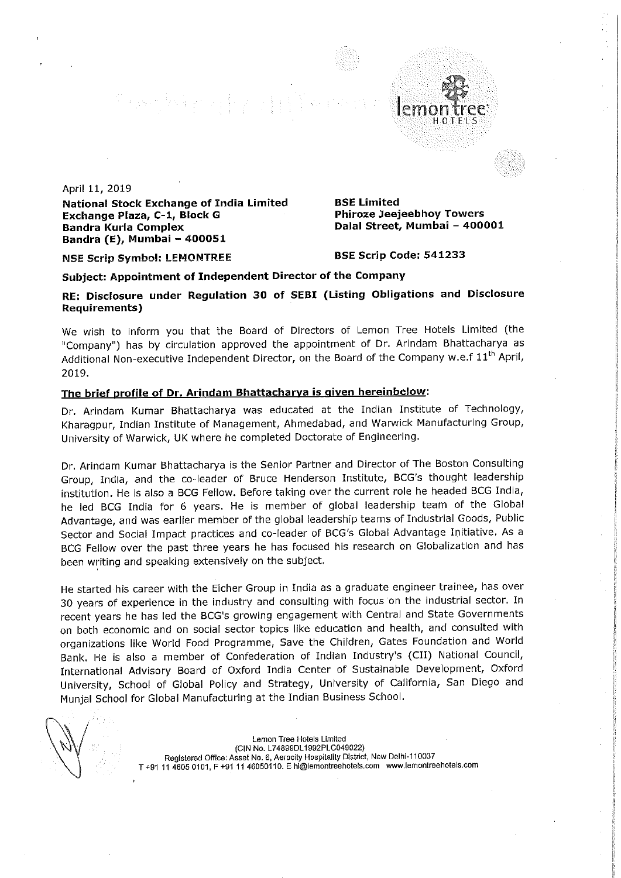an<br>1983: Maria Maria Maria Maria Maria<br>1983: Maria Maria Maria Maria Maria Maria Maria Maria Maria Maria Maria Maria Maria Maria Maria Maria Maria M

April 11, 2019

National Stock Exchange of India Limited BSE Limited<br>Exchange Plaza, C-1, Block G BR Phiroze Jeejeebhoy Towers Exchange Plaza, C-1, Block G Bandra Kurla Complex Bandra (E), Mumbai — 400051

Dalal Street, Mumbai - 400001

HOTELS

NSE Scrip Symbol: LEMONTREE BSE Scrip Code: 541233

## Subject: Appointment of Independent Director of the Company

RE: Disclosure under Regulation 30 of SEBI (Listing Obligations and Disclosure Requirements)

We wish to inform you that the Board of Directors of Lemon Tree Hotels Limited (the "Company") has by circulation approved the appointment of Dr. Arindam Bhattacharya as Additional Non-executive Independent Director, on the Board of the Company w.e.f  $11<sup>th</sup>$  April, 2019.

## The brief profile of Dr. Arindam Bhattacharya is given hereinbelow:

Dr. Arindam Kumar Bhattacharya was educated at the Indian Institute of Technology, Kharagpur, Indian Institute of Management, Ahmedabad, and Warwick Manufacturing Group, University of Warwick, UK where he completed Doctorate of Engineering.

Dr. Arindam Kumar Bhattacharya is the Senior Partner and Director of The Boston Consulting Group, India, and the co-leader of Bruce Henderson Institute, BCG's thought leadership institution. He is also <sup>a</sup> BCG Fellow. Before taking over the current role he headed BCG India, he led BCG India for <sup>6</sup> years. He is member of global leadership team of the Global Advantage, and was earlier member of the global leadership teams of Industrial Goods, Public Sector and Social Impact practices and co—leader of BCG's Global Advantage Initiative. As <sup>a</sup> BCG Fellow over the past three years he has focused his research on Globalization and has been writing and speaking extensively on the subject.

He started his career with the Eicher Group in India as <sup>a</sup> graduate engineer trainee, has over <sup>30</sup> years of experience in the industry and consulting with focus on the industrial sector. In recent years he has led the BCG's growing engagement with Central and State Governments on both economic and on social sector topics like education and health, and consulted with organizations like World Food Programme, Save the Children, Gates Foundation and World Bank. He is also <sup>a</sup> member of Confederation of Indian Industry's (CII) National Council, International Advisory Board of Oxford India Center of Sustainable Development, Oxford University, School of Global Policy and Strategy, University of California, San Diego and Munjal School for Global Manufacturing at the Indian Business School.

Lemon Tree Hotels Limited (CIN No. L748990L1992PLC049022) Registered Office: Asset No. 6. Aerocity Hospitality District, New Delhl~110037 T+91 <sup>11</sup> 4605 0101, <sup>F</sup> +91 <sup>11</sup> 46050110. <sup>E</sup> hi@|emontreehoiels.com www.lemontreehotels.com